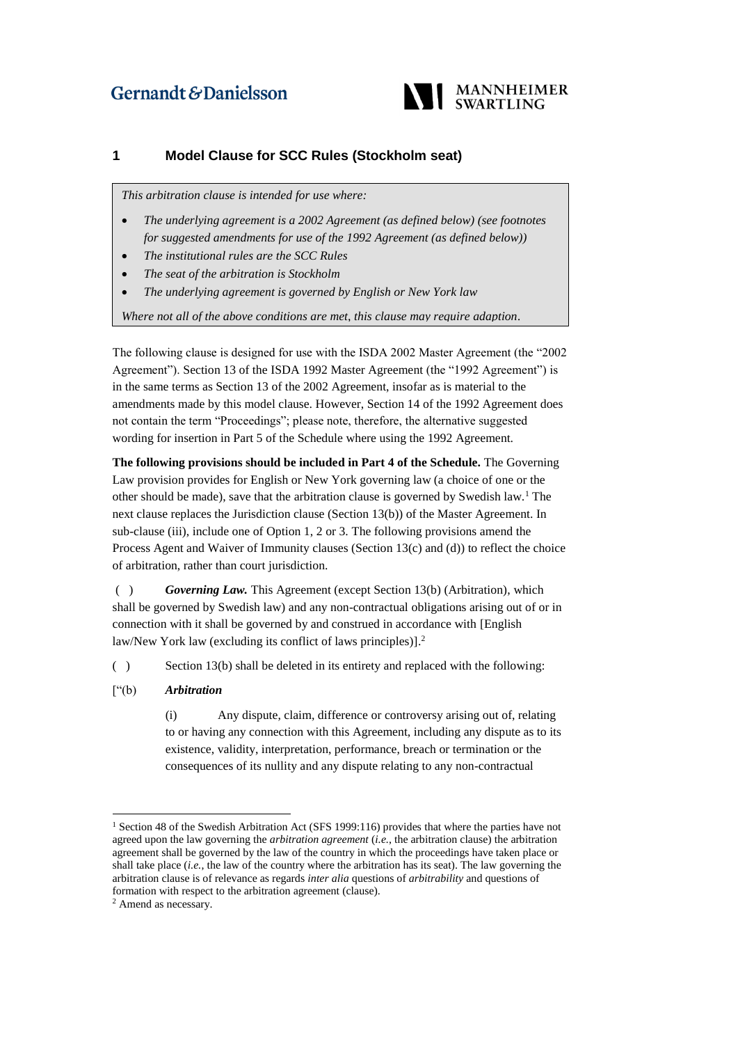## Gernandt & Danielsson



## **1 Model Clause for SCC Rules (Stockholm seat)**

*This arbitration clause is intended for use where:*

- *The underlying agreement is a 2002 Agreement (as defined below) (see footnotes for suggested amendments for use of the 1992 Agreement (as defined below))*
- *The institutional rules are the SCC Rules*
- *The seat of the arbitration is Stockholm*
- *The underlying agreement is governed by English or New York law*

*Where not all of the above conditions are met, this clause may require adaption.* 

The following clause is designed for use with the ISDA 2002 Master Agreement (the "2002 Agreement"). Section 13 of the ISDA 1992 Master Agreement (the "1992 Agreement") is in the same terms as Section 13 of the 2002 Agreement, insofar as is material to the amendments made by this model clause. However, Section 14 of the 1992 Agreement does not contain the term "Proceedings"; please note, therefore, the alternative suggested wording for insertion in Part 5 of the Schedule where using the 1992 Agreement.

**The following provisions should be included in Part 4 of the Schedule.** The Governing Law provision provides for English or New York governing law (a choice of one or the other should be made), save that the arbitration clause is governed by Swedish law.<sup>1</sup> The next clause replaces the Jurisdiction clause (Section 13(b)) of the Master Agreement. In sub-clause (iii), include one of Option 1, 2 or 3. The following provisions amend the Process Agent and Waiver of Immunity clauses (Section 13(c) and (d)) to reflect the choice of arbitration, rather than court jurisdiction.

( ) *Governing Law.* This Agreement (except Section 13(b) (Arbitration), which shall be governed by Swedish law) and any non-contractual obligations arising out of or in connection with it shall be governed by and construed in accordance with [English law/New York law (excluding its conflict of laws principles)]. 2

( ) Section 13(b) shall be deleted in its entirety and replaced with the following:

["(b) *Arbitration*

(i) Any dispute, claim, difference or controversy arising out of, relating to or having any connection with this Agreement, including any dispute as to its existence, validity, interpretation, performance, breach or termination or the consequences of its nullity and any dispute relating to any non-contractual

-

<sup>1</sup> Section 48 of the Swedish Arbitration Act (SFS 1999:116) provides that where the parties have not agreed upon the law governing the *arbitration agreement* (*i.e.*, the arbitration clause) the arbitration agreement shall be governed by the law of the country in which the proceedings have taken place or shall take place (*i.e.*, the law of the country where the arbitration has its seat). The law governing the arbitration clause is of relevance as regards *inter alia* questions of *arbitrability* and questions of formation with respect to the arbitration agreement (clause).

<sup>2</sup> Amend as necessary.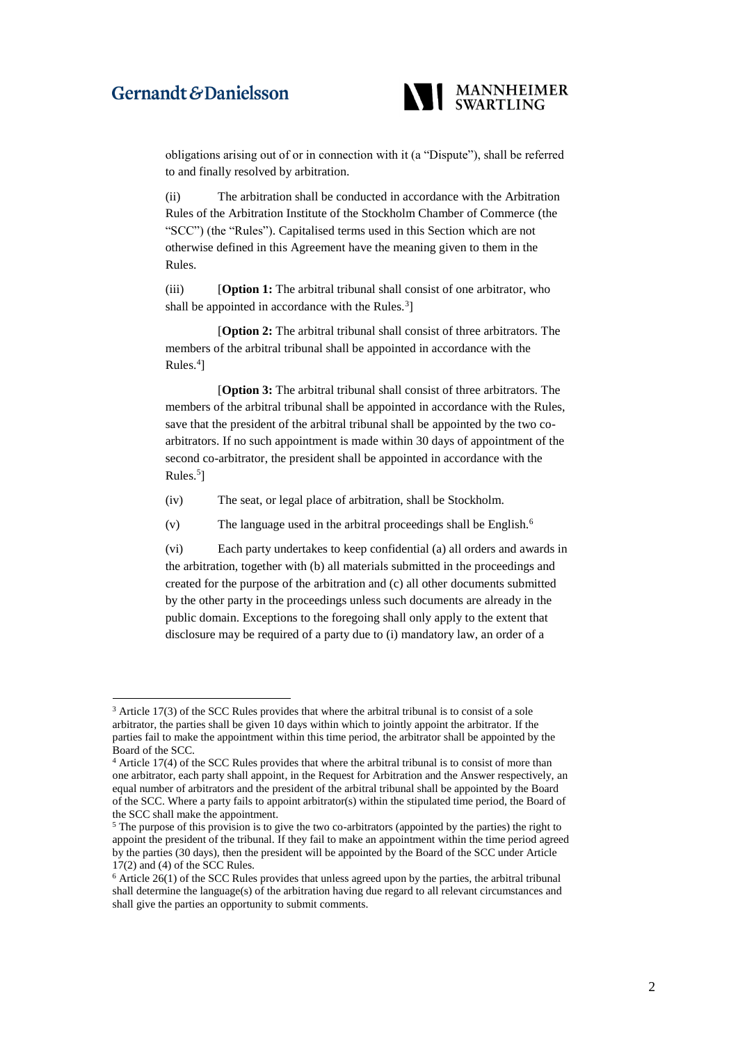## Gernandt & Danielsson

1



obligations arising out of or in connection with it (a "Dispute"), shall be referred to and finally resolved by arbitration.

(ii) The arbitration shall be conducted in accordance with the Arbitration Rules of the Arbitration Institute of the Stockholm Chamber of Commerce (the "SCC") (the "Rules"). Capitalised terms used in this Section which are not otherwise defined in this Agreement have the meaning given to them in the Rules.

(iii) [**Option 1:** The arbitral tribunal shall consist of one arbitrator, who shall be appointed in accordance with the Rules.<sup>3</sup>]

[**Option 2:** The arbitral tribunal shall consist of three arbitrators. The members of the arbitral tribunal shall be appointed in accordance with the Rules.<sup>4</sup>]

[**Option 3:** The arbitral tribunal shall consist of three arbitrators. The members of the arbitral tribunal shall be appointed in accordance with the Rules, save that the president of the arbitral tribunal shall be appointed by the two coarbitrators. If no such appointment is made within 30 days of appointment of the second co-arbitrator, the president shall be appointed in accordance with the Rules.<sup>5</sup>]

- (iv) The seat, or legal place of arbitration, shall be Stockholm.
- (v) The language used in the arbitral proceedings shall be English.<sup>6</sup>

(vi) Each party undertakes to keep confidential (a) all orders and awards in the arbitration, together with (b) all materials submitted in the proceedings and created for the purpose of the arbitration and (c) all other documents submitted by the other party in the proceedings unless such documents are already in the public domain. Exceptions to the foregoing shall only apply to the extent that disclosure may be required of a party due to (i) mandatory law, an order of a

 $3$  Article 17(3) of the SCC Rules provides that where the arbitral tribunal is to consist of a sole arbitrator, the parties shall be given 10 days within which to jointly appoint the arbitrator. If the parties fail to make the appointment within this time period, the arbitrator shall be appointed by the Board of the SCC.

<sup>4</sup> Article 17(4) of the SCC Rules provides that where the arbitral tribunal is to consist of more than one arbitrator, each party shall appoint, in the Request for Arbitration and the Answer respectively, an equal number of arbitrators and the president of the arbitral tribunal shall be appointed by the Board of the SCC. Where a party fails to appoint arbitrator(s) within the stipulated time period, the Board of the SCC shall make the appointment.

<sup>&</sup>lt;sup>5</sup> The purpose of this provision is to give the two co-arbitrators (appointed by the parties) the right to appoint the president of the tribunal. If they fail to make an appointment within the time period agreed by the parties (30 days), then the president will be appointed by the Board of the SCC under Article 17(2) and (4) of the SCC Rules.

 $6$  Article 26(1) of the SCC Rules provides that unless agreed upon by the parties, the arbitral tribunal shall determine the language(s) of the arbitration having due regard to all relevant circumstances and shall give the parties an opportunity to submit comments.